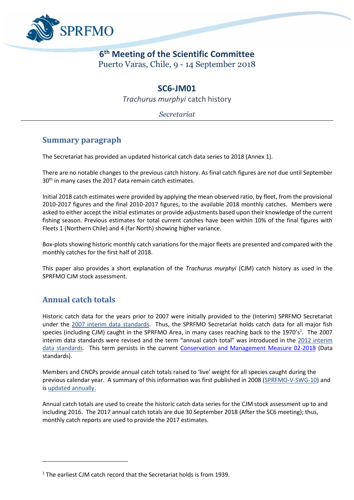

# **6 th Meeting of the Scientific Committee**  Puerto Varas, Chile, 9 - 14 September 2018

# **SC6-JM01**

*Trachurus murphyi* catch history

*Secretariat*

#### **Summary paragraph**

The Secretariat has provided an updated historical catch data series to 2018 (Annex 1).

There are no notable changes to the previous catch history. As final catch figures are not due until September 30<sup>th</sup> in many cases the 2017 data remain catch estimates.

Initial 2018 catch estimates were provided by applying the mean observed ratio, by fleet, from the provisional 2010-2017 figures and the final 2010-2017 figures, to the available 2018 monthly catches. Members were asked to either accept the initial estimates or provide adjustments based upon their knowledge of the current fishing season. Previous estimates for total current catches have been within 10% of the final figures with Fleets 1 (Northern Chile) and 4 (far North) showing higher variance.

Box-plots showing historic monthly catch variations for the major fleets are presented and compared with the monthly catches for the first half of 2018.

This paper also provides a short explanation of the *Trachurus murphyi* (CJM) catch history as used in the SPRFMO CJM stock assessment.

# **Annual catch totals**

 $\overline{\phantom{a}}$ 

Historic catch data for the years prior to 2007 were initially provided to the (Interim) SPRFMO Secretariat under the [2007 interim data standards.](http://www.sprfmo.int/assets/Meetings/Meetings-before-2013/International-Consultations-2006-to-2009/IntCons-3-2007-Renaca-Chile/FINAL-SPRFMO-data-standards-300407.pdfhttp:/www.sprfmo.int/assets/Meetings/Meetings-before-2013/International-Consultations-2006-to-2009/IntCons-3-2007-Renaca-Chile/FINAL-SPRFMO-data-standards-300407.pdf) Thus, the SPRFMO Secretariat holds catch data for all major fish species (including CJM) caught in the SPRFMO Area, in many cases reaching back to the 1970's<sup>1</sup>. The 2007 interim data standards were revised and the term "annual catch total" was introduced in the 2012 interim [data standards.](http://www.sprfmo.int/assets/Meetings/Meetings-before-2013/01-Preparatory-conferences/PrepConf-III-Chile-2012/PrepCon3-2012-Data-Standards-Adopted-03Feb2012-Final-Clean.pdf) This term persists in the current [Conservation and Management Measure 02-2018](http://www.sprfmo.int/assets/Fisheries/Conservation-and-Management-Measures/2018-CMMs/CMM-02-2018-Data-Standards-8March2018.pdf) (Data standards).

Members and CNCPs provide annual catch totals raised to 'live' weight for all species caught during the previous calendar year. A summary of this information was first published in 2008 [\(SPRFMO-V-SWG-10\)](http://www.sprfmo.int/assets/Meetings/Meetings-before-2013/Scientific-Working-Group/SWG-05-2008/SPRFMO-V-SWG-10-Data-Received-to-Date.pdf) and is [updated annually.](http://www.sprfmo.int/data/catch-information/)

Annual catch totals are used to create the historic catch data series for the CJM stock assessment up to and including 2016. The 2017 annual catch totals are due 30 September 2018 (After the SC6 meeting); thus, monthly catch reports are used to provide the 2017 estimates.

<sup>&</sup>lt;sup>1</sup> The earliest CJM catch record that the Secretariat holds is from 1939.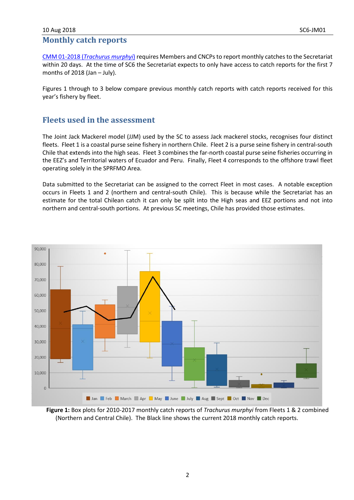#### 10 Aug 2018 SC6-JM01 **Monthly catch reports**

CMM 01-2018 (*[Trachurus murphyi](http://www.sprfmo.int/assets/Fisheries/Conservation-and-Management-Measures/2018-CMMs/CMM-01-2018-Trachurus-murphyi-8March2018.pdf)*) requires Members and CNCPs to report monthly catches to the Secretariat within 20 days. At the time of SC6 the Secretariat expects to only have access to catch reports for the first 7 months of 2018 (Jan – July).

Figures 1 through to 3 below compare previous monthly catch reports with catch reports received for this year's fishery by fleet.

### **Fleets used in the assessment**

The Joint Jack Mackerel model (JJM) used by the SC to assess Jack mackerel stocks, recognises four distinct fleets. Fleet 1 is a coastal purse seine fishery in northern Chile. Fleet 2 is a purse seine fishery in central-south Chile that extends into the high seas. Fleet 3 combines the far-north coastal purse seine fisheries occurring in the EEZ's and Territorial waters of Ecuador and Peru. Finally, Fleet 4 corresponds to the offshore trawl fleet operating solely in the SPRFMO Area.

Data submitted to the Secretariat can be assigned to the correct Fleet in most cases. A notable exception occurs in Fleets 1 and 2 (northern and central-south Chile). This is because while the Secretariat has an estimate for the total Chilean catch it can only be split into the High seas and EEZ portions and not into northern and central-south portions. At previous SC meetings, Chile has provided those estimates.



**Figure 1:** Box plots for 2010-2017 monthly catch reports of *Trachurus murphyi* from Fleets 1 & 2 combined (Northern and Central Chile). The Black line shows the current 2018 monthly catch reports.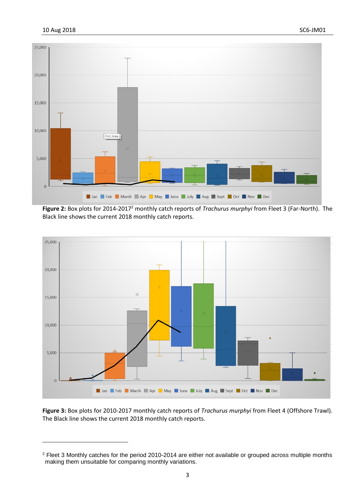$\overline{\phantom{a}}$ 



**Figure 2:** Box plots for 2014-2017<sup>2</sup> monthly catch reports of *Trachurus murphyi* from Fleet 3 (Far-North). The Black line shows the current 2018 monthly catch reports.



**Figure 3:** Box plots for 2010-2017 monthly catch reports of *Trachurus murphyi* from Fleet 4 (Offshore Trawl). The Black line shows the current 2018 monthly catch reports.

<sup>&</sup>lt;sup>2</sup> Fleet 3 Monthly catches for the period 2010-2014 are either not available or grouped across multiple months making them unsuitable for comparing monthly variations.